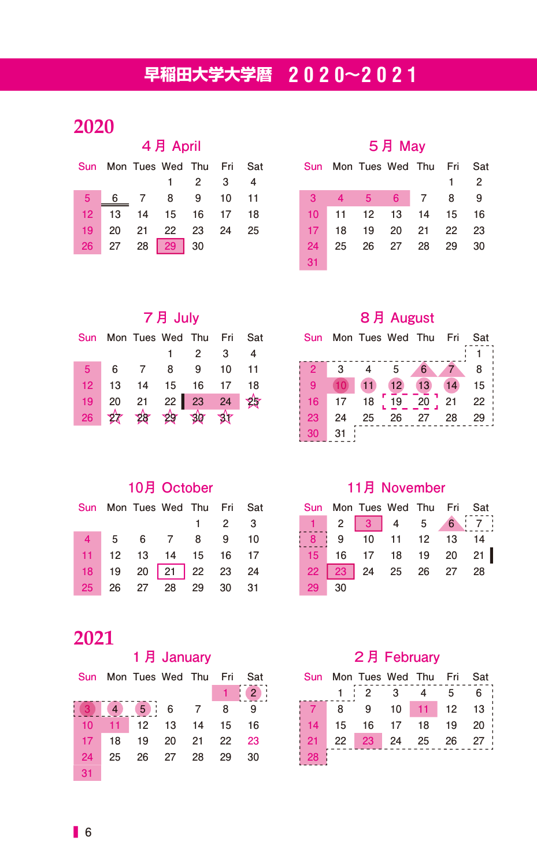# **早稲田大学大学暦 2020〜2021**

| 4月 April        |    |                          |                |                         |     |      |  |  |  |
|-----------------|----|--------------------------|----------------|-------------------------|-----|------|--|--|--|
| Sun             |    | Mon Tues Wed Thu Fri Sat |                |                         |     |      |  |  |  |
|                 |    |                          |                | $\overline{\mathbf{2}}$ | - 3 | 4    |  |  |  |
| 5 <sup>1</sup>  |    | 6 7 8 9                  |                |                         | 10  | 11   |  |  |  |
| 12              | 13 | 14 15 16 17              |                |                         |     | - 18 |  |  |  |
| 19              | 20 |                          | 21  22  23  24 |                         |     | 25   |  |  |  |
| 26 <sup>2</sup> |    | 27 28 29 30              |                |                         |     |      |  |  |  |

#### **5月 May**

| Sun             |    | Mon Tues Wed Thu Fri |          | Sat  |
|-----------------|----|----------------------|----------|------|
|                 |    |                      |          | 2    |
| $\overline{3}$  |    | 4 5 6 7 8            |          | 9    |
| 10 <sup>°</sup> |    | 11 12 13 14 15       |          | - 16 |
| 17 <sup>2</sup> | 18 | 19                   | 20 21 22 | 23   |
| 24              | 25 | 26 27 28 29          |          | 30   |
| 31              |    |                      |          |      |

#### **7月 July**

|         | Sun Mon Tues Wed Thu Fri Sat |                     |   |
|---------|------------------------------|---------------------|---|
|         |                              | $1 \quad 2 \quad 3$ | 4 |
|         | 5 6 7 8 9 10 11              |                     |   |
| $12-12$ | 13  14  15  16  17  18       |                     |   |
|         | 19 20 21 22 23 24 25         |                     |   |
| 26      | 2 28 29 30 31                |                     |   |

#### **8月 August**

| Sun            |    | Mon Tues Wed Thu |    |    | Fri | Sat |
|----------------|----|------------------|----|----|-----|-----|
|                |    |                  |    |    |     |     |
| $\overline{2}$ | 3  |                  | 5  | 6  |     | 8   |
| 9              | 10 | 11               | 12 | 13 | 14  | 15  |
| 16             | 17 | 18               | 19 | 20 | 21  | 22  |
| 23             | 24 | 25               | 26 | 27 | 28  | 29  |
| 30             | 31 |                  |    |    |     |     |

### **10月 October**

|  | Sun Mon Tues Wed Thu Fri Sat |  |                     |  |
|--|------------------------------|--|---------------------|--|
|  |                              |  | $1 \quad 2 \quad 3$ |  |
|  | 4 5 6 7 8 9 10               |  |                     |  |
|  | 11 12 13 14 15 16 17         |  |                     |  |
|  | 18 19 20 21 22 23 24         |  |                     |  |
|  | 25 26 27 28 29 30 31         |  |                     |  |

#### **11月 November**

|       |  |  | Sun Mon Tues Wed Thu Fri Sat |  |
|-------|--|--|------------------------------|--|
|       |  |  | $1$ 2 3 4 5 6 7              |  |
|       |  |  | 8 9 10 11 12 13 14           |  |
|       |  |  | 15 16 17 18 19 20 21         |  |
|       |  |  | 22 23 24 25 26 27 28         |  |
| 29 30 |  |  |                              |  |

## 

#### **1月 January**

|    | Sun Mon Tues Wed Thu Fri Sat |  |    |
|----|------------------------------|--|----|
|    |                              |  |    |
|    |                              |  | -9 |
|    | 10 11 12 13 14 15 16         |  |    |
|    | 17 18 19 20 21 22 23         |  |    |
| 24 | 25  26  27  28  29           |  | 30 |
| 31 |                              |  |    |

#### **2月 February**

| <b>Sun</b> |    | Mon Tues Wed Thu Fri |                 |    |       | Sat            |
|------------|----|----------------------|-----------------|----|-------|----------------|
|            |    | $\overline{2}$       | 3               |    | 5     | 6              |
|            | 8  | 9                    | 10 <sup>1</sup> | 11 | 12 13 | $\blacksquare$ |
| 14         | 15 | 16                   | 17              | 18 | 19    | -20            |
| 21         | 22 | 23                   | 24              | 25 | 26    | 27             |
|            |    |                      |                 |    |       |                |